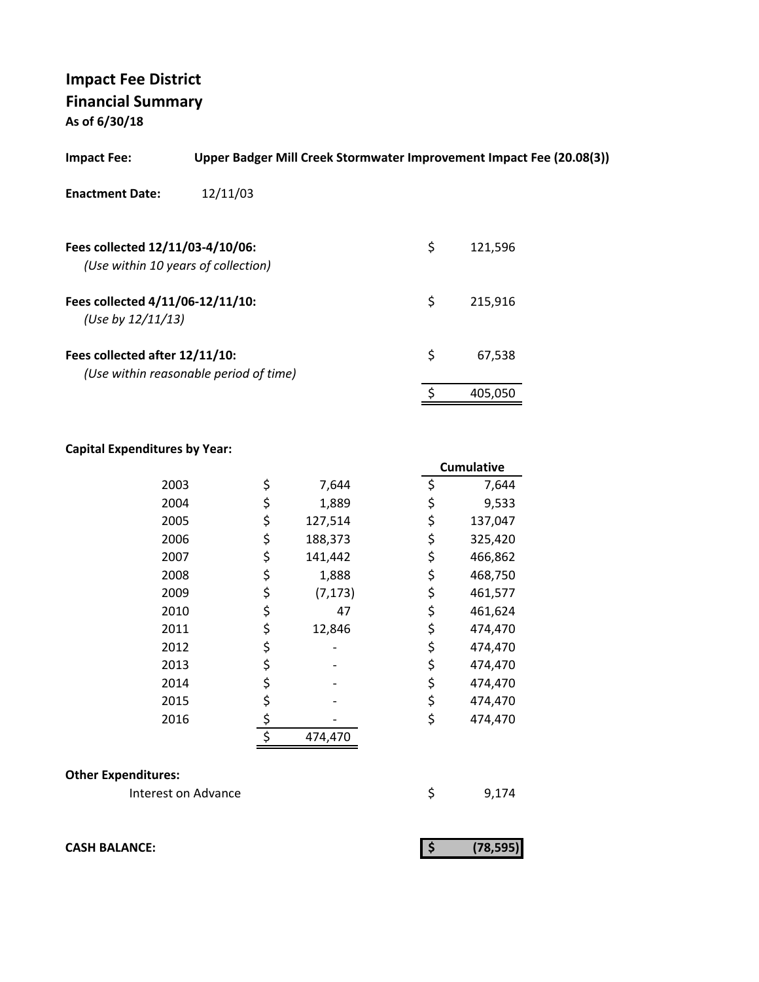# **Impact Fee District Financial Summary**

**As of 6/30/18**

| <b>Impact Fee:</b>                                                      | Upper Badger Mill Creek Stormwater Improvement Impact Fee (20.08(3)) |               |
|-------------------------------------------------------------------------|----------------------------------------------------------------------|---------------|
| <b>Enactment Date:</b>                                                  | 12/11/03                                                             |               |
| Fees collected 12/11/03-4/10/06:<br>(Use within 10 years of collection) |                                                                      | \$<br>121,596 |
| Fees collected 4/11/06-12/11/10:<br>(Use by $12/11/13$ )                |                                                                      | \$<br>215.916 |
| Fees collected after 12/11/10:                                          | (Use within reasonable period of time)                               | \$<br>67,538  |
|                                                                         |                                                                      | 405,050       |

### **Capital Expenditures by Year:**

|      |                | <b>Cumulative</b> |
|------|----------------|-------------------|
| 2003 | \$<br>7,644    | \$<br>7,644       |
| 2004 | \$<br>1,889    | \$<br>9,533       |
| 2005 | \$<br>127,514  | \$<br>137,047     |
| 2006 | \$<br>188,373  | \$<br>325,420     |
| 2007 | \$<br>141,442  | \$<br>466,862     |
| 2008 | \$<br>1,888    | \$<br>468,750     |
| 2009 | \$<br>(7, 173) | \$<br>461,577     |
| 2010 | \$<br>47       | \$<br>461,624     |
| 2011 | \$<br>12,846   | \$<br>474,470     |
| 2012 | \$             | \$<br>474,470     |
| 2013 | \$             | \$<br>474,470     |
| 2014 | \$             | \$<br>474,470     |
| 2015 | \$             | \$<br>474,470     |
| 2016 | \$             | \$<br>474,470     |
|      | \$<br>474,470  |                   |

#### **Other Expenditures:**

Interest on Advance \$ 9,174

**CASH BALANCE:** (78,595)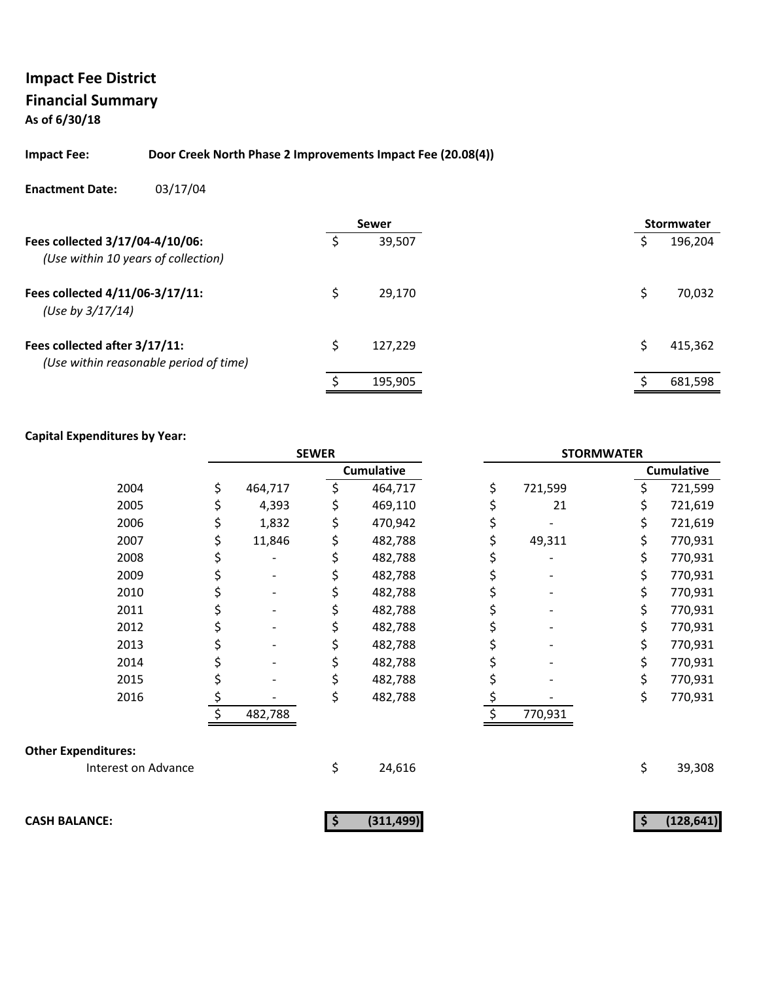#### **Impact Fee: Door Creek North Phase 2 Improvements Impact Fee (20.08(4))**

#### **Enactment Date:** 03/17/04

|                                                                         |   | <b>Sewer</b> |  | <b>Stormwater</b> |
|-------------------------------------------------------------------------|---|--------------|--|-------------------|
| Fees collected 3/17/04-4/10/06:<br>(Use within 10 years of collection)  |   | 39,507       |  | 196,204           |
| Fees collected 4/11/06-3/17/11:<br>(Use by 3/17/14)                     |   | 29.170       |  | 70,032            |
| Fees collected after 3/17/11:<br>(Use within reasonable period of time) | Ś | 127,229      |  | 415,362           |
|                                                                         |   | 195,905      |  | 681,598           |

|                            | <b>SEWER</b> |         |    | <b>STORMWATER</b> |    |         |    |                   |
|----------------------------|--------------|---------|----|-------------------|----|---------|----|-------------------|
|                            |              |         |    | <b>Cumulative</b> |    |         |    | <b>Cumulative</b> |
| 2004                       | \$           | 464,717 | \$ | 464,717           | \$ | 721,599 | \$ | 721,599           |
| 2005                       | \$           | 4,393   |    | 469,110           | \$ | 21      | \$ | 721,619           |
| 2006                       | \$           | 1,832   |    | 470,942           | \$ |         | \$ | 721,619           |
| 2007                       | \$           | 11,846  |    | 482,788           | \$ | 49,311  | \$ | 770,931           |
| 2008                       | \$           |         |    | 482,788           |    |         | \$ | 770,931           |
| 2009                       | \$           |         |    | 482,788           | \$ |         | \$ | 770,931           |
| 2010                       | \$           |         |    | 482,788           | \$ |         | \$ | 770,931           |
| 2011                       | \$           |         |    | 482,788           |    |         | \$ | 770,931           |
| 2012                       | \$           |         |    | 482,788           | \$ |         | \$ | 770,931           |
| 2013                       | \$           |         |    | 482,788           | \$ |         | \$ | 770,931           |
| 2014                       |              |         |    | 482,788           |    |         | \$ | 770,931           |
| 2015                       | \$           |         |    | 482,788           | \$ |         | \$ | 770,931           |
| 2016                       | \$           |         |    | 482,788           | \$ |         | \$ | 770,931           |
|                            |              | 482,788 |    |                   |    | 770,931 |    |                   |
| <b>Other Expenditures:</b> |              |         |    |                   |    |         |    |                   |
| Interest on Advance        |              |         | \$ | 24,616            |    |         | \$ | 39,308            |
| <b>CASH BALANCE:</b>       |              |         | -S | (311, 499)        |    |         | \$ | (128, 641)        |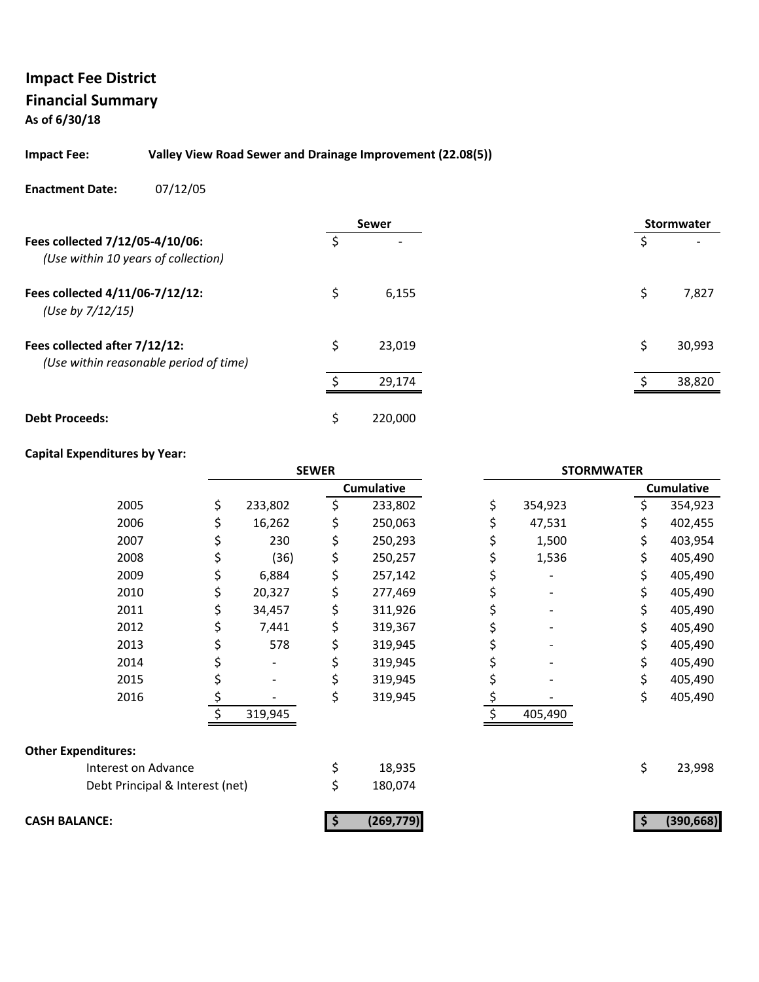#### **Impact Fee: Valley View Road Sewer and Drainage Improvement (22.08(5))**

#### **Enactment Date:** 07/12/05

|                                                                         |    | <b>Sewer</b> |    | <b>Stormwater</b> |
|-------------------------------------------------------------------------|----|--------------|----|-------------------|
| Fees collected 7/12/05-4/10/06:<br>(Use within 10 years of collection)  |    |              |    |                   |
| Fees collected 4/11/06-7/12/12:<br>(Use by 7/12/15)                     | \$ | 6,155        | \$ | 7,827             |
| Fees collected after 7/12/12:<br>(Use within reasonable period of time) | \$ | 23,019       | \$ | 30,993            |
|                                                                         |    | 29,174       |    | 38,820            |
| <b>Debt Proceeds:</b>                                                   | Ś  | 220,000      |    |                   |

|                                 | <b>SEWER</b> |         |    | <b>STORMWATER</b> |    |         |    |                   |
|---------------------------------|--------------|---------|----|-------------------|----|---------|----|-------------------|
|                                 |              |         |    | <b>Cumulative</b> |    |         |    | <b>Cumulative</b> |
| 2005                            | \$           | 233,802 | \$ | 233,802           | \$ | 354,923 | \$ | 354,923           |
| 2006                            |              | 16,262  |    | 250,063           |    | 47,531  | \$ | 402,455           |
| 2007                            |              | 230     |    | 250,293           |    | 1,500   | \$ | 403,954           |
| 2008                            |              | (36)    | Ş  | 250,257           |    | 1,536   | \$ | 405,490           |
| 2009                            | \$           | 6,884   | S  | 257,142           |    |         | \$ | 405,490           |
| 2010                            | \$           | 20,327  |    | 277,469           | Ş  |         | \$ | 405,490           |
| 2011                            |              | 34,457  |    | 311,926           |    |         |    | 405,490           |
| 2012                            |              | 7,441   |    | 319,367           | Ş  |         | \$ | 405,490           |
| 2013                            |              | 578     |    | 319,945           | \$ |         | \$ | 405,490           |
| 2014                            |              |         |    | 319,945           |    |         | \$ | 405,490           |
| 2015                            |              |         |    | 319,945           |    |         |    | 405,490           |
| 2016                            |              |         | \$ | 319,945           |    |         | \$ | 405,490           |
|                                 |              | 319,945 |    |                   |    | 405,490 |    |                   |
| <b>Other Expenditures:</b>      |              |         |    |                   |    |         |    |                   |
| Interest on Advance             |              |         |    | 18,935            |    |         | \$ | 23,998            |
| Debt Principal & Interest (net) |              |         | 5  | 180,074           |    |         |    |                   |
| <b>CASH BALANCE:</b>            |              |         | \$ | (269, 779)        |    |         | S  | (390, 668)        |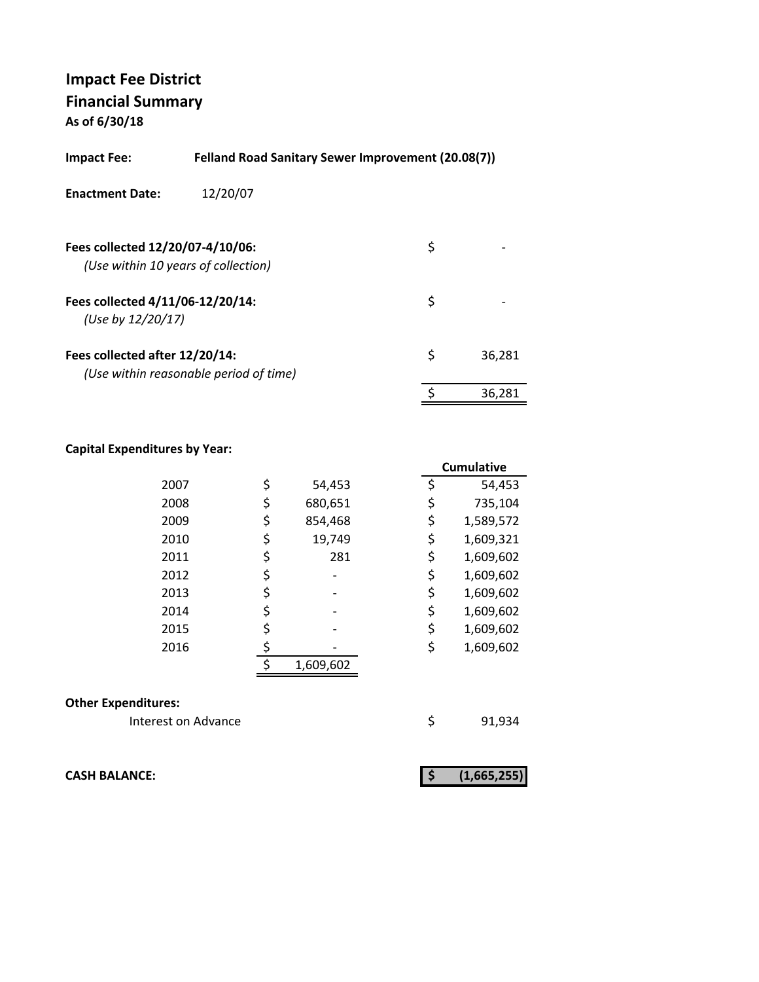| Impact Fee:                                           | Felland Road Sanitary Sewer Improvement (20.08(7)) |    |        |
|-------------------------------------------------------|----------------------------------------------------|----|--------|
| <b>Enactment Date:</b>                                | 12/20/07                                           |    |        |
| Fees collected 12/20/07-4/10/06:                      | (Use within 10 years of collection)                | \$ |        |
| Fees collected 4/11/06-12/20/14:<br>(Use by 12/20/17) |                                                    | \$ |        |
| Fees collected after 12/20/14:                        | (Use within reasonable period of time)             | \$ | 36,281 |
|                                                       |                                                    |    | 36.281 |

#### **Capital Expenditures by Year:**

|      |               |    | <b>Cumulative</b> |
|------|---------------|----|-------------------|
| 2007 | \$<br>54,453  | \$ | 54,453            |
| 2008 | \$<br>680,651 | \$ | 735,104           |
| 2009 | \$<br>854,468 | \$ | 1,589,572         |
| 2010 | \$<br>19,749  | \$ | 1,609,321         |
| 2011 | \$<br>281     | \$ | 1,609,602         |
| 2012 |               | \$ | 1,609,602         |
| 2013 |               | \$ | 1,609,602         |
| 2014 |               | \$ | 1,609,602         |
| 2015 |               | \$ | 1,609,602         |
| 2016 |               | \$ | 1,609,602         |
|      | 1,609,602     |    |                   |

#### **Other Expenditures:**

Interest on Advance **1920** \$91,934

**CASH BALANCE: (1,665,255) \$**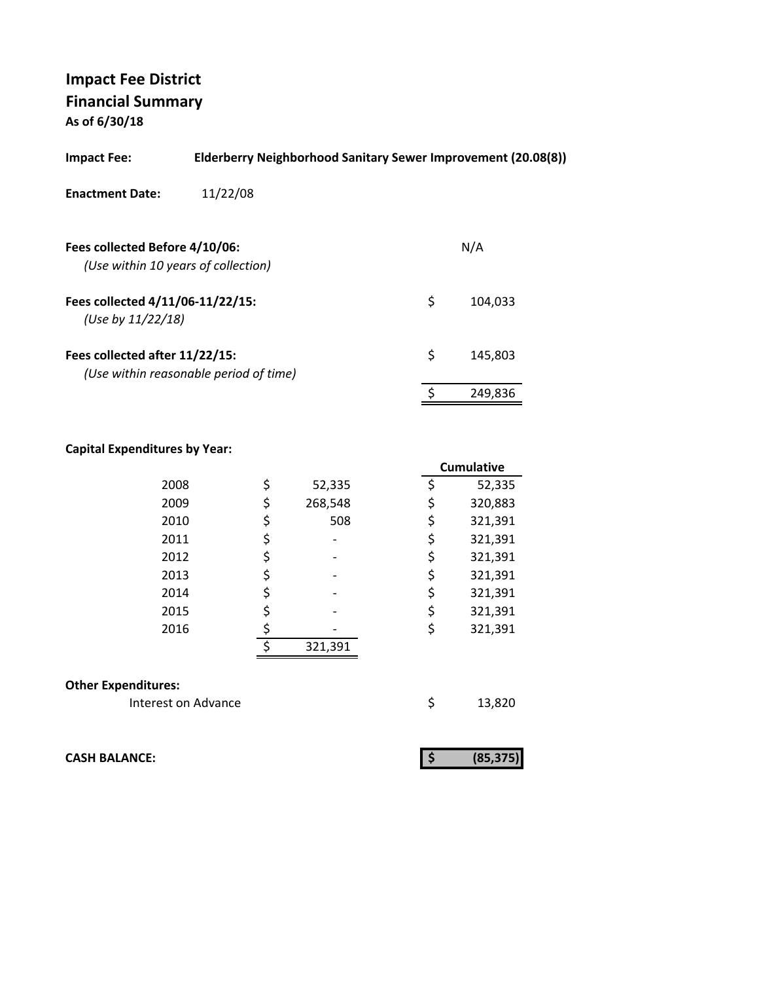| 11/22/08<br><b>Enactment Date:</b>                                       |               |
|--------------------------------------------------------------------------|---------------|
| Fees collected Before 4/10/06:<br>(Use within 10 years of collection)    | N/A           |
| Fees collected 4/11/06-11/22/15:<br>(Use by $11/22/18$ )                 | \$<br>104.033 |
| Fees collected after 11/22/15:<br>(Use within reasonable period of time) | \$<br>145,803 |
|                                                                          | 249,836       |

#### **Capital Expenditures by Year:**

|                            |    |         | <b>Cumulative</b> |
|----------------------------|----|---------|-------------------|
| 2008                       | \$ | 52,335  | \$<br>52,335      |
| 2009                       | \$ | 268,548 | \$<br>320,883     |
| 2010                       | \$ | 508     | \$<br>321,391     |
| 2011                       | \$ |         | \$<br>321,391     |
| 2012                       | \$ |         | \$<br>321,391     |
| 2013                       | \$ |         | \$<br>321,391     |
| 2014                       | \$ |         | \$<br>321,391     |
| 2015                       | \$ |         | \$<br>321,391     |
| 2016                       | \$ |         | \$<br>321,391     |
|                            | ς  | 321,391 |                   |
|                            |    |         |                   |
| <b>Other Expenditures:</b> |    |         |                   |
| Interest on Advance        |    |         | \$<br>13,820      |

**CASH BALANCE:**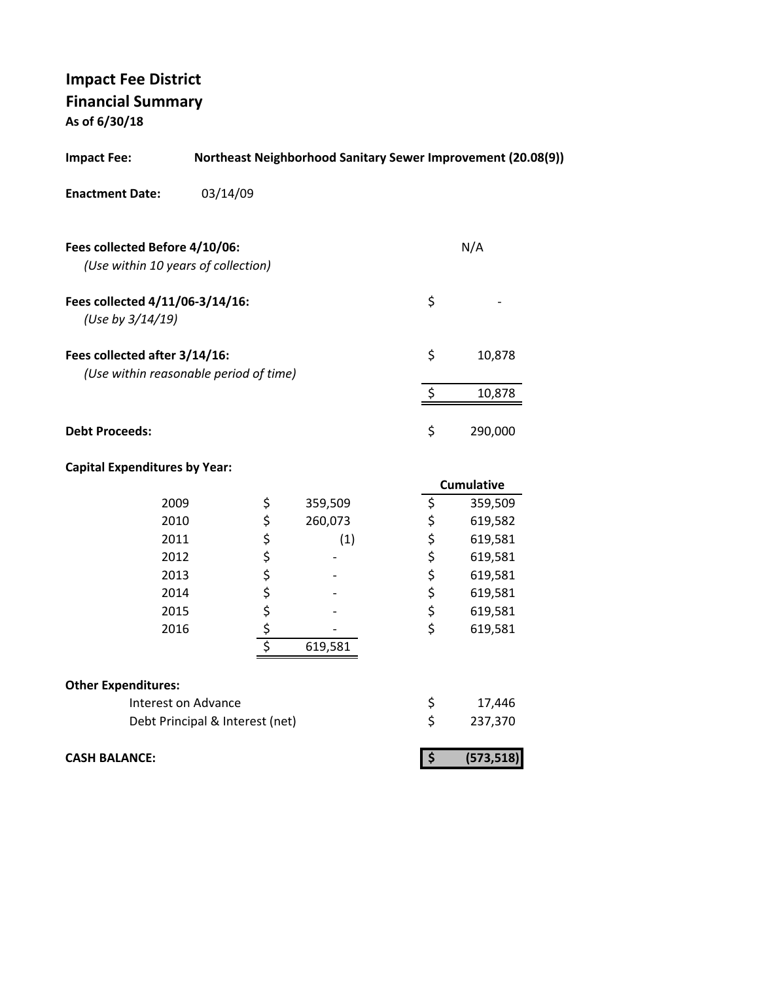| <b>Impact Fee:</b>                                                      | Northeast Neighborhood Sanitary Sewer Improvement (20.08(9)) |        |         |                                 |  |                   |
|-------------------------------------------------------------------------|--------------------------------------------------------------|--------|---------|---------------------------------|--|-------------------|
| <b>Enactment Date:</b>                                                  | 03/14/09                                                     |        |         |                                 |  |                   |
| Fees collected Before 4/10/06:<br>(Use within 10 years of collection)   |                                                              |        |         |                                 |  | N/A               |
| Fees collected 4/11/06-3/14/16:<br>(Use by 3/14/19)                     |                                                              |        |         | \$                              |  |                   |
| Fees collected after 3/14/16:<br>(Use within reasonable period of time) |                                                              |        |         | \$                              |  | 10,878            |
|                                                                         |                                                              |        |         | \$                              |  | 10,878            |
| <b>Debt Proceeds:</b>                                                   |                                                              |        |         | \$                              |  | 290,000           |
| <b>Capital Expenditures by Year:</b>                                    |                                                              |        |         |                                 |  |                   |
|                                                                         |                                                              |        |         |                                 |  | <b>Cumulative</b> |
| 2009                                                                    |                                                              | \$     | 359,509 | \$                              |  | 359,509           |
| 2010                                                                    |                                                              | こくさくこう | 260,073 | \$                              |  | 619,582           |
| 2011                                                                    |                                                              |        | (1)     | \$<br>\$                        |  | 619,581           |
| 2012                                                                    |                                                              |        |         |                                 |  | 619,581           |
| 2013                                                                    |                                                              |        |         | \$                              |  | 619,581           |
| 2014                                                                    |                                                              |        |         | \$                              |  | 619,581           |
| 2015                                                                    |                                                              |        |         | \$                              |  | 619,581           |
| 2016                                                                    |                                                              |        |         | $\overline{\mathsf{S}}$         |  | 619,581           |
|                                                                         |                                                              |        | 619,581 |                                 |  |                   |
| <b>Other Expenditures:</b>                                              |                                                              |        |         |                                 |  |                   |
| Interest on Advance                                                     |                                                              |        |         | \$                              |  | 17,446            |
|                                                                         | Debt Principal & Interest (net)                              |        |         | $\overline{\mathsf{S}}$         |  | 237,370           |
| <b>CASH BALANCE:</b>                                                    |                                                              |        |         | $\overline{\boldsymbol{\zeta}}$ |  | (573, 518)        |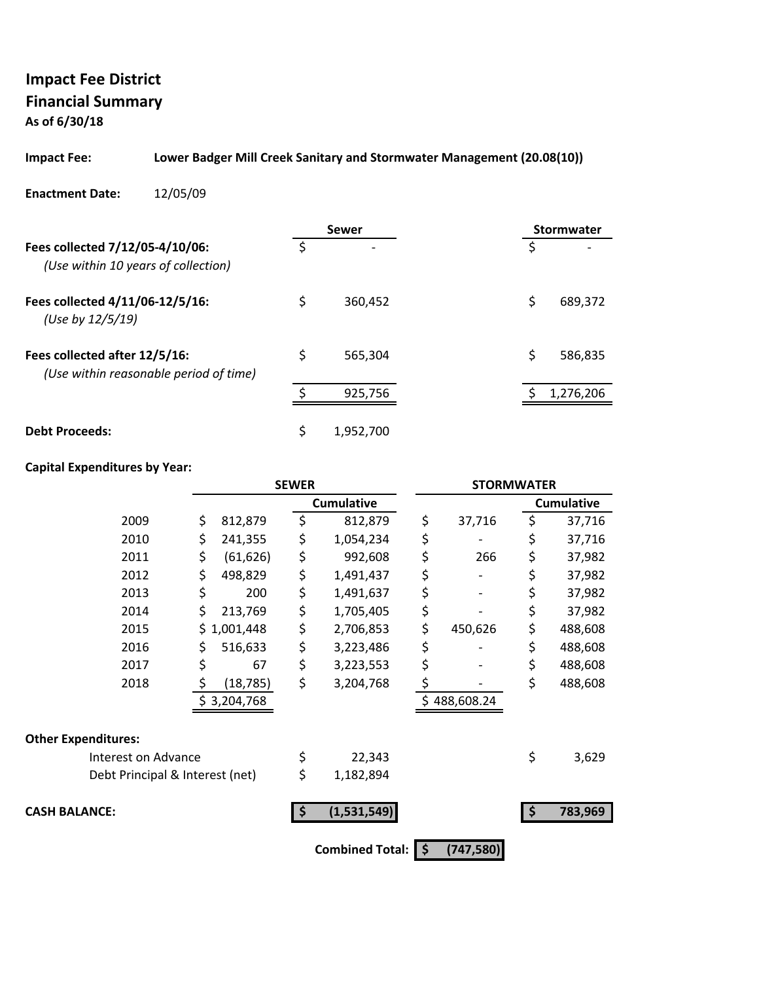# **Impact Fee District Financial Summary**

**As of 6/30/18**

#### **Impact Fee: Lower Badger Mill Creek Sanitary and Stormwater Management (20.08(10))**

**Enactment Date:** 12/05/09

|                                                                         | Sewer           | Stormwater    |
|-------------------------------------------------------------------------|-----------------|---------------|
| Fees collected 7/12/05-4/10/06:<br>(Use within 10 years of collection)  | \$              | \$            |
| Fees collected 4/11/06-12/5/16:<br>(Use by 12/5/19)                     | \$<br>360,452   | \$<br>689,372 |
| Fees collected after 12/5/16:<br>(Use within reasonable period of time) | \$<br>565,304   | \$<br>586,835 |
|                                                                         | 925,756         | 1,276,206     |
| <b>Debt Proceeds:</b>                                                   | \$<br>1,952,700 |               |

|                                 |                 | <b>SEWER</b> |                        | <b>STORMWATER</b> |    |                   |
|---------------------------------|-----------------|--------------|------------------------|-------------------|----|-------------------|
|                                 |                 |              | <b>Cumulative</b>      |                   |    | <b>Cumulative</b> |
| 2009                            | \$<br>812,879   | \$           | 812,879                | \$<br>37,716      | \$ | 37,716            |
| 2010                            | \$<br>241,355   | \$           | 1,054,234              | \$                | \$ | 37,716            |
| 2011                            | \$<br>(61, 626) | \$           | 992,608                | \$<br>266         | \$ | 37,982            |
| 2012                            | \$<br>498,829   | \$           | 1,491,437              | \$                | \$ | 37,982            |
| 2013                            | \$<br>200       | \$           | 1,491,637              | \$                | \$ | 37,982            |
| 2014                            | \$<br>213,769   | \$           | 1,705,405              | \$                | \$ | 37,982            |
| 2015                            | \$1,001,448     | \$           | 2,706,853              | \$<br>450,626     | \$ | 488,608           |
| 2016                            | \$<br>516,633   | \$           | 3,223,486              | \$                | \$ | 488,608           |
| 2017                            | \$<br>67        | \$           | 3,223,553              | \$                | \$ | 488,608           |
| 2018                            | \$<br>(18, 785) | \$           | 3,204,768              | \$                | \$ | 488,608           |
|                                 | \$3,204,768     |              |                        | \$488,608.24      |    |                   |
| <b>Other Expenditures:</b>      |                 |              |                        |                   |    |                   |
| Interest on Advance             |                 | \$           | 22,343                 |                   | \$ | 3,629             |
| Debt Principal & Interest (net) |                 | \$           | 1,182,894              |                   |    |                   |
| <b>CASH BALANCE:</b>            |                 |              | (1,531,549)            |                   | Ŝ  | 783,969           |
|                                 |                 |              | <b>Combined Total:</b> | \$<br>(747, 580)  |    |                   |